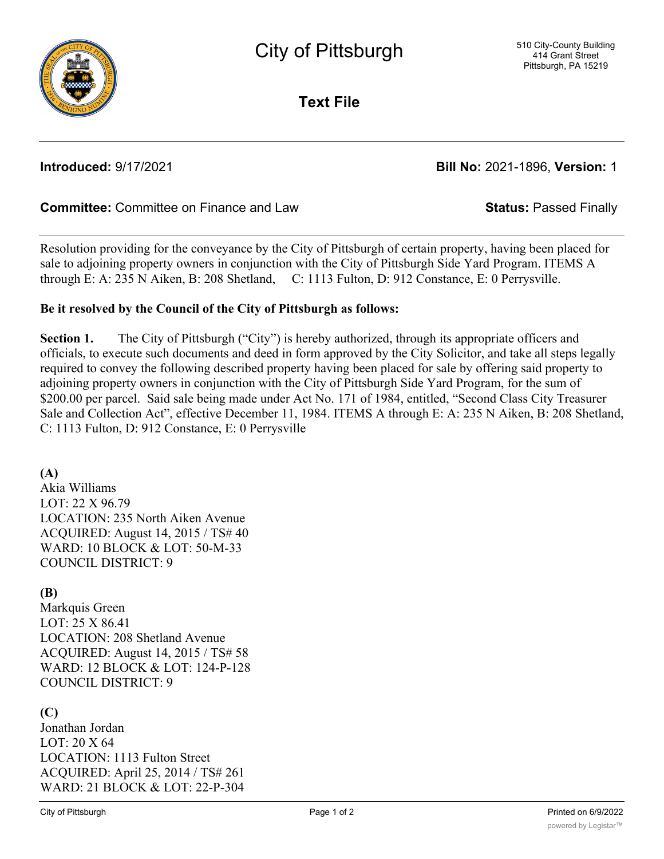

**Text File**

**Introduced:** 9/17/2021 **Bill No:** 2021-1896, **Version:** 1

# **Committee:** Committee on Finance and Law **Status:** Passed Finally

Resolution providing for the conveyance by the City of Pittsburgh of certain property, having been placed for sale to adjoining property owners in conjunction with the City of Pittsburgh Side Yard Program. ITEMS A through E: A: 235 N Aiken, B: 208 Shetland, C: 1113 Fulton, D: 912 Constance, E: 0 Perrysville.

## **Be it resolved by the Council of the City of Pittsburgh as follows:**

**Section 1.** The City of Pittsburgh ("City") is hereby authorized, through its appropriate officers and officials, to execute such documents and deed in form approved by the City Solicitor, and take all steps legally required to convey the following described property having been placed for sale by offering said property to adjoining property owners in conjunction with the City of Pittsburgh Side Yard Program, for the sum of \$200.00 per parcel. Said sale being made under Act No. 171 of 1984, entitled, "Second Class City Treasurer Sale and Collection Act", effective December 11, 1984. ITEMS A through E: A: 235 N Aiken, B: 208 Shetland, C: 1113 Fulton, D: 912 Constance, E: 0 Perrysville

### **(A)**

Akia Williams LOT: 22 X 96.79 LOCATION: 235 North Aiken Avenue ACQUIRED: August 14, 2015 / TS# 40 WARD: 10 BLOCK & LOT: 50-M-33 COUNCIL DISTRICT: 9

## **(B)**

Markquis Green LOT: 25 X 86.41 LOCATION: 208 Shetland Avenue ACQUIRED: August 14, 2015 / TS# 58 WARD: 12 BLOCK & LOT: 124-P-128 COUNCIL DISTRICT: 9

# **(C)**

Jonathan Jordan LOT: 20 X 64 LOCATION: 1113 Fulton Street ACQUIRED: April 25, 2014 / TS# 261 WARD: 21 BLOCK & LOT: 22-P-304